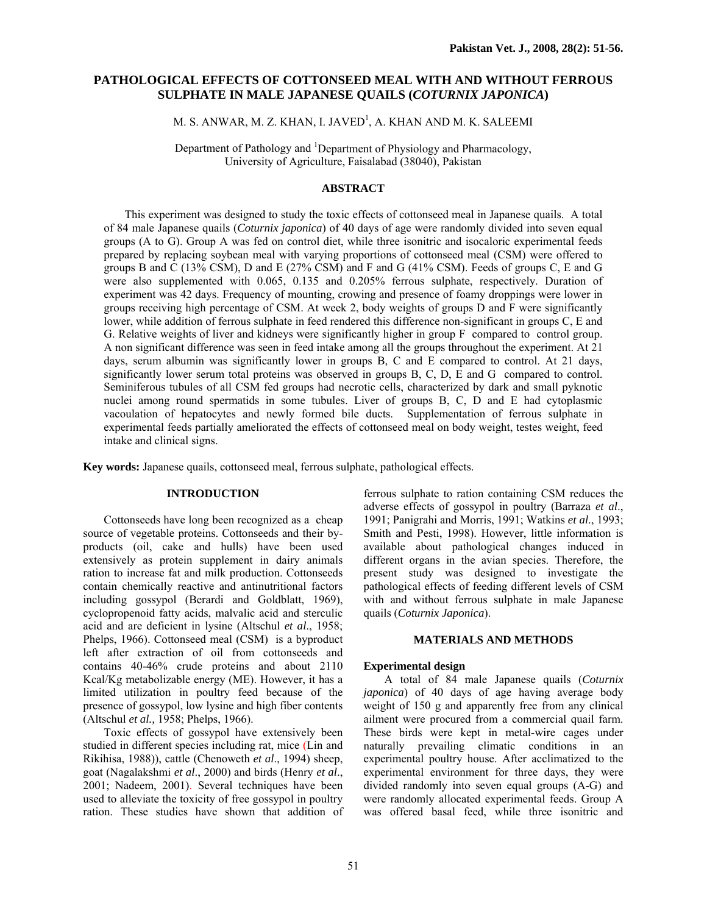# **PATHOLOGICAL EFFECTS OF COTTONSEED MEAL WITH AND WITHOUT FERROUS SULPHATE IN MALE JAPANESE QUAILS (***COTURNIX JAPONICA***)**

M. S. ANWAR, M. Z. KHAN, I. JAVED<sup>1</sup>, A. KHAN AND M. K. SALEEMI

Department of Pathology and <sup>1</sup>Department of Physiology and Pharmacology, University of Agriculture, Faisalabad (38040), Pakistan

# **ABSTRACT**

This experiment was designed to study the toxic effects of cottonseed meal in Japanese quails. A total of 84 male Japanese quails (*Coturnix japonica*) of 40 days of age were randomly divided into seven equal groups (A to G). Group A was fed on control diet, while three isonitric and isocaloric experimental feeds prepared by replacing soybean meal with varying proportions of cottonseed meal (CSM) were offered to groups B and C (13% CSM), D and E (27% CSM) and F and G (41% CSM). Feeds of groups C, E and G were also supplemented with 0.065, 0.135 and 0.205% ferrous sulphate, respectively. Duration of experiment was 42 days. Frequency of mounting, crowing and presence of foamy droppings were lower in groups receiving high percentage of CSM. At week 2, body weights of groups D and F were significantly lower, while addition of ferrous sulphate in feed rendered this difference non-significant in groups C, E and G. Relative weights of liver and kidneys were significantly higher in group F compared to control group. A non significant difference was seen in feed intake among all the groups throughout the experiment. At 21 days, serum albumin was significantly lower in groups B, C and E compared to control. At 21 days, significantly lower serum total proteins was observed in groups B, C, D, E and G compared to control. Seminiferous tubules of all CSM fed groups had necrotic cells, characterized by dark and small pyknotic nuclei among round spermatids in some tubules. Liver of groups B, C, D and E had cytoplasmic vacoulation of hepatocytes and newly formed bile ducts. Supplementation of ferrous sulphate in experimental feeds partially ameliorated the effects of cottonseed meal on body weight, testes weight, feed intake and clinical signs.

**Key words:** Japanese quails, cottonseed meal, ferrous sulphate, pathological effects.

## **INTRODUCTION**

Cottonseeds have long been recognized as a cheap source of vegetable proteins. Cottonseeds and their byproducts (oil, cake and hulls) have been used extensively as protein supplement in dairy animals ration to increase fat and milk production. Cottonseeds contain chemically reactive and antinutritional factors including gossypol (Berardi and Goldblatt, 1969), cyclopropenoid fatty acids, malvalic acid and sterculic acid and are deficient in lysine (Altschul *et al*., 1958; Phelps, 1966). Cottonseed meal (CSM) is a byproduct left after extraction of oil from cottonseeds and contains 40-46% crude proteins and about 2110 Kcal/Kg metabolizable energy (ME). However, it has a limited utilization in poultry feed because of the presence of gossypol, low lysine and high fiber contents (Altschul *et al.,* 1958; Phelps, 1966).

 Toxic effects of gossypol have extensively been studied in different species including rat, mice (Lin and Rikihisa, 1988)), cattle (Chenoweth *et al*., 1994) sheep, goat (Nagalakshmi *et al*., 2000) and birds (Henry *et al*., 2001; Nadeem, 2001). Several techniques have been used to alleviate the toxicity of free gossypol in poultry ration. These studies have shown that addition of ferrous sulphate to ration containing CSM reduces the adverse effects of gossypol in poultry (Barraza *et al*., 1991; Panigrahi and Morris, 1991; Watkins *et al*., 1993; Smith and Pesti, 1998). However, little information is available about pathological changes induced in different organs in the avian species. Therefore, the present study was designed to investigate the pathological effects of feeding different levels of CSM with and without ferrous sulphate in male Japanese quails (*Coturnix Japonica*).

#### **MATERIALS AND METHODS**

## **Experimental design**

A total of 84 male Japanese quails (*Coturnix japonica*) of 40 days of age having average body weight of 150 g and apparently free from any clinical ailment were procured from a commercial quail farm. These birds were kept in metal-wire cages under naturally prevailing climatic conditions in an experimental poultry house. After acclimatized to the experimental environment for three days, they were divided randomly into seven equal groups (A-G) and were randomly allocated experimental feeds. Group A was offered basal feed, while three isonitric and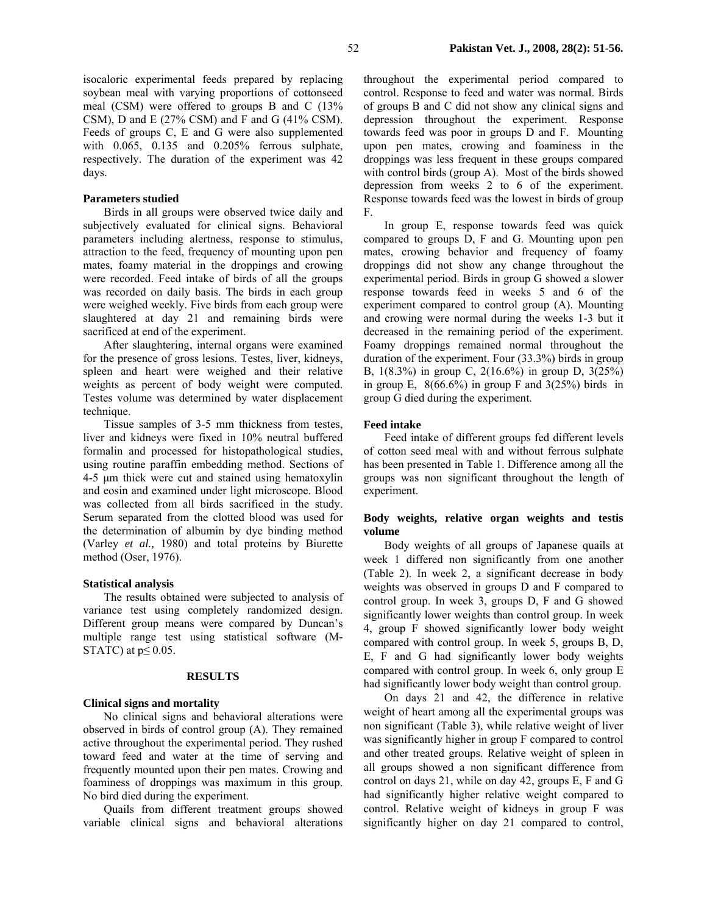isocaloric experimental feeds prepared by replacing soybean meal with varying proportions of cottonseed meal (CSM) were offered to groups B and C (13% CSM), D and E (27% CSM) and F and G (41% CSM). Feeds of groups C, E and G were also supplemented with 0.065, 0.135 and 0.205% ferrous sulphate, respectively. The duration of the experiment was 42 days.

## **Parameters studied**

Birds in all groups were observed twice daily and subjectively evaluated for clinical signs. Behavioral parameters including alertness, response to stimulus, attraction to the feed, frequency of mounting upon pen mates, foamy material in the droppings and crowing were recorded. Feed intake of birds of all the groups was recorded on daily basis. The birds in each group were weighed weekly. Five birds from each group were slaughtered at day 21 and remaining birds were sacrificed at end of the experiment.

After slaughtering, internal organs were examined for the presence of gross lesions. Testes, liver, kidneys, spleen and heart were weighed and their relative weights as percent of body weight were computed. Testes volume was determined by water displacement technique.

Tissue samples of 3-5 mm thickness from testes, liver and kidneys were fixed in 10% neutral buffered formalin and processed for histopathological studies, using routine paraffin embedding method. Sections of 4-5 µm thick were cut and stained using hematoxylin and eosin and examined under light microscope. Blood was collected from all birds sacrificed in the study. Serum separated from the clotted blood was used for the determination of albumin by dye binding method (Varley *et al.,* 1980) and total proteins by Biurette method (Oser, 1976).

#### **Statistical analysis**

The results obtained were subjected to analysis of variance test using completely randomized design. Different group means were compared by Duncan's multiple range test using statistical software (M-STATC) at  $p \leq 0.05$ .

#### **RESULTS**

### **Clinical signs and mortality**

No clinical signs and behavioral alterations were observed in birds of control group (A). They remained active throughout the experimental period. They rushed toward feed and water at the time of serving and frequently mounted upon their pen mates. Crowing and foaminess of droppings was maximum in this group. No bird died during the experiment.

Quails from different treatment groups showed variable clinical signs and behavioral alterations

throughout the experimental period compared to control. Response to feed and water was normal. Birds of groups B and C did not show any clinical signs and depression throughout the experiment. Response towards feed was poor in groups D and F. Mounting upon pen mates, crowing and foaminess in the droppings was less frequent in these groups compared with control birds (group A). Most of the birds showed depression from weeks 2 to 6 of the experiment. Response towards feed was the lowest in birds of group F.

In group E, response towards feed was quick compared to groups D, F and G. Mounting upon pen mates, crowing behavior and frequency of foamy droppings did not show any change throughout the experimental period. Birds in group G showed a slower response towards feed in weeks 5 and 6 of the experiment compared to control group (A). Mounting and crowing were normal during the weeks 1-3 but it decreased in the remaining period of the experiment. Foamy droppings remained normal throughout the duration of the experiment. Four (33.3%) birds in group B, 1(8.3%) in group C, 2(16.6%) in group D, 3(25%) in group E,  $8(66.6\%)$  in group F and  $3(25\%)$  birds in group G died during the experiment.

## **Feed intake**

Feed intake of different groups fed different levels of cotton seed meal with and without ferrous sulphate has been presented in Table 1. Difference among all the groups was non significant throughout the length of experiment.

## **Body weights, relative organ weights and testis volume**

Body weights of all groups of Japanese quails at week 1 differed non significantly from one another (Table 2). In week 2, a significant decrease in body weights was observed in groups D and F compared to control group. In week 3, groups D, F and G showed significantly lower weights than control group. In week 4, group F showed significantly lower body weight compared with control group. In week 5, groups B, D, E, F and G had significantly lower body weights compared with control group. In week 6, only group E had significantly lower body weight than control group.

On days 21 and 42, the difference in relative weight of heart among all the experimental groups was non significant (Table 3), while relative weight of liver was significantly higher in group F compared to control and other treated groups. Relative weight of spleen in all groups showed a non significant difference from control on days 21, while on day 42, groups E, F and G had significantly higher relative weight compared to control. Relative weight of kidneys in group F was significantly higher on day 21 compared to control,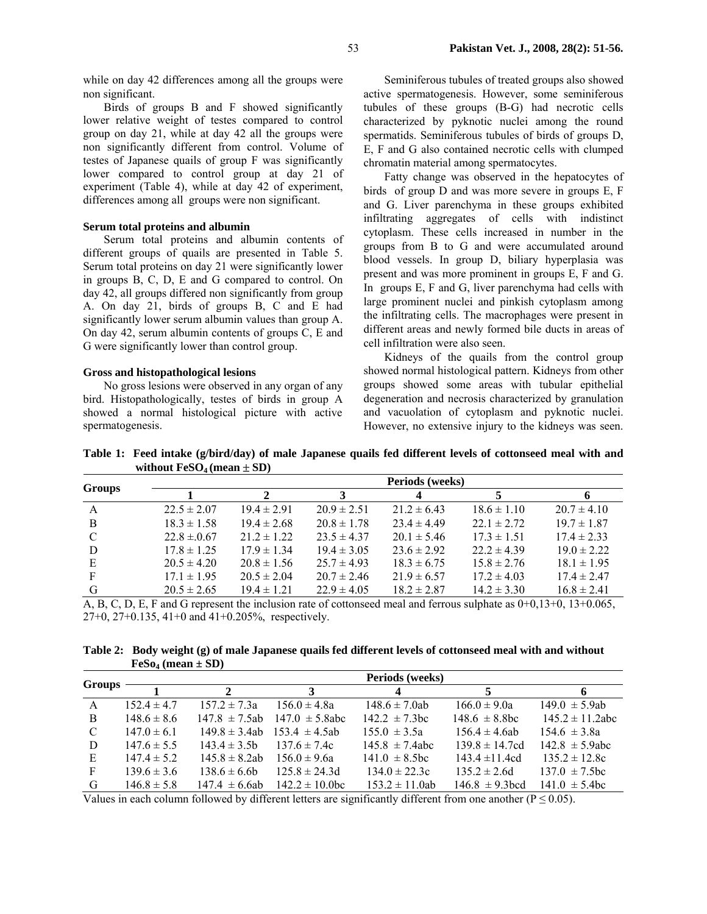while on day 42 differences among all the groups were non significant.

Birds of groups B and F showed significantly lower relative weight of testes compared to control group on day 21, while at day 42 all the groups were non significantly different from control. Volume of testes of Japanese quails of group F was significantly lower compared to control group at day 21 of experiment (Table 4), while at day 42 of experiment, differences among all groups were non significant.

## **Serum total proteins and albumin**

Serum total proteins and albumin contents of different groups of quails are presented in Table 5. Serum total proteins on day 21 were significantly lower in groups B, C, D, E and G compared to control. On day 42, all groups differed non significantly from group A. On day 21, birds of groups B, C and E had significantly lower serum albumin values than group A. On day 42, serum albumin contents of groups C, E and G were significantly lower than control group.

### **Gross and histopathological lesions**

No gross lesions were observed in any organ of any bird. Histopathologically, testes of birds in group A showed a normal histological picture with active spermatogenesis.

Seminiferous tubules of treated groups also showed active spermatogenesis. However, some seminiferous tubules of these groups (B-G) had necrotic cells characterized by pyknotic nuclei among the round spermatids. Seminiferous tubules of birds of groups D, E, F and G also contained necrotic cells with clumped chromatin material among spermatocytes.

Fatty change was observed in the hepatocytes of birds of group D and was more severe in groups E, F and G. Liver parenchyma in these groups exhibited infiltrating aggregates of cells with indistinct cytoplasm. These cells increased in number in the groups from B to G and were accumulated around blood vessels. In group D, biliary hyperplasia was present and was more prominent in groups E, F and G. In groups E, F and G, liver parenchyma had cells with large prominent nuclei and pinkish cytoplasm among the infiltrating cells. The macrophages were present in different areas and newly formed bile ducts in areas of cell infiltration were also seen.

Kidneys of the quails from the control group showed normal histological pattern. Kidneys from other groups showed some areas with tubular epithelial degeneration and necrosis characterized by granulation and vacuolation of cytoplasm and pyknotic nuclei. However, no extensive injury to the kidneys was seen.

**Table 1: Feed intake (g/bird/day) of male Japanese quails fed different levels of cottonseed meal with and without**  $FeSO<sub>4</sub>$  **(mean**  $\pm$  **SD)** 

|                 |                 | 3               |                 |                 |                 |
|-----------------|-----------------|-----------------|-----------------|-----------------|-----------------|
| $22.5 \pm 2.07$ | $19.4 \pm 2.91$ | $20.9 \pm 2.51$ | $21.2 \pm 6.43$ | $18.6 \pm 1.10$ | $20.7 \pm 4.10$ |
| $18.3 \pm 1.58$ | $19.4 \pm 2.68$ | $20.8 \pm 1.78$ | $23.4 \pm 4.49$ | $22.1 \pm 2.72$ | $19.7 \pm 1.87$ |
| $22.8 \pm 0.67$ | $21.2 \pm 1.22$ | $23.5 \pm 4.37$ | $20.1 \pm 5.46$ | $17.3 \pm 1.51$ | $17.4 \pm 2.33$ |
| $17.8 \pm 1.25$ | $17.9 \pm 1.34$ | $19.4 \pm 3.05$ | $23.6 \pm 2.92$ | $22.2 \pm 4.39$ | $19.0 \pm 2.22$ |
| $20.5 \pm 4.20$ | $20.8 \pm 1.56$ | $25.7 \pm 4.93$ | $18.3 \pm 6.75$ | $15.8 \pm 2.76$ | $18.1 \pm 1.95$ |
| $17.1 \pm 1.95$ | $20.5 \pm 2.04$ | $20.7 \pm 2.46$ | $21.9 \pm 6.57$ | $17.2 \pm 4.03$ | $17.4 \pm 2.47$ |
| $20.5 \pm 2.65$ | $19.4 \pm 1.21$ | $22.9 \pm 4.05$ | $18.2 \pm 2.87$ | $14.2 \pm 3.30$ | $16.8 \pm 2.41$ |
|                 |                 |                 |                 |                 | Periods (weeks) |

A, B, C, D, E, F and G represent the inclusion rate of cottonseed meal and ferrous sulphate as 0+0,13+0, 13+0.065, 27+0, 27+0.135, 41+0 and 41+0.205%, respectively.

**Table 2: Body weight (g) of male Japanese quails fed different levels of cottonseed meal with and without**   $FeSo<sub>4</sub>$  (mean  $\pm$  SD)

|               |                 |                    |                     | Periods (weeks)     |                     |                      |
|---------------|-----------------|--------------------|---------------------|---------------------|---------------------|----------------------|
| <b>Groups</b> |                 |                    |                     |                     |                     |                      |
| A             | $152.4 \pm 4.7$ | $157.2 \pm 7.3a$   | $156.0 \pm 4.8a$    | $148.6 \pm 7.0$ ab  | $166.0 \pm 9.0a$    | $149.0 \pm 5.9ab$    |
| B             | $148.6 \pm 8.6$ | $147.8 \pm 7.5$ ab | $147.0 \pm 5.8$ abc | $142.2 \pm 7.3$ bc  | $148.6 \pm 8.8$ bc  | $145.2 \pm 11.2$ abc |
| C             | $147.0 \pm 6.1$ | $149.8 \pm 3.4ab$  | $153.4 \pm 4.5ab$   | $155.0 \pm 3.5a$    | $156.4 \pm 4.6$ ab  | $154.6 \pm 3.8a$     |
| D             | $147.6 \pm 5.5$ | $143.4 \pm 3.5b$   | $1376 \pm 74c$      | $145.8 \pm 7.4$ abc | $139.8 \pm 14.7cd$  | $142.8 \pm 5.9$ abc  |
| E             | $147.4 \pm 5.2$ | $145.8 \pm 8.2ab$  | $156.0 \pm 9.6a$    | $141.0 \pm 8.5$ bc  | $143.4 \pm 11.4$ cd | $135.2 \pm 12.8c$    |
| F             | $139.6 \pm 3.6$ | $138.6 \pm 6.6$    | $125.8 \pm 24.3d$   | $134.0 \pm 22.3c$   | $135.2 \pm 2.6d$    | $137.0 \pm 7.5$ bc   |
| G             | $146.8 \pm 5.8$ | $147.4 \pm 6.6ab$  | $142.2 \pm 10.0$ bc | $153.2 \pm 11.0$ ab | $146.8 \pm 9.3$ hcd | $141.0 \pm 5.4$ bc   |

Values in each column followed by different letters are significantly different from one another ( $P \le 0.05$ ).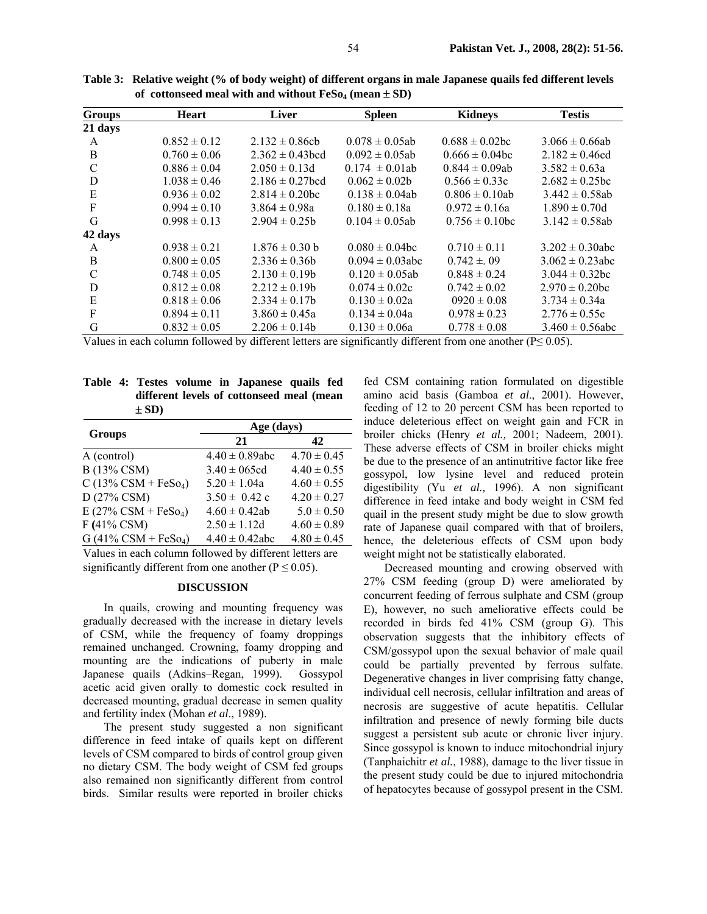| <b>Groups</b> | <b>Heart</b>     | <b>Liver</b>         | <b>Spleen</b>        | <b>Kidneys</b>      | <b>Testis</b>        |
|---------------|------------------|----------------------|----------------------|---------------------|----------------------|
| 21 days       |                  |                      |                      |                     |                      |
| A             | $0.852 \pm 0.12$ | $2.132 \pm 0.86$ ch  | $0.078 \pm 0.05ab$   | $0.688 \pm 0.02$ bc | $3.066 \pm 0.66ab$   |
| B             | $0.760 \pm 0.06$ | $2.362 \pm 0.43$ bcd | $0.092 \pm 0.05$ ab  | $0.666 \pm 0.04$ bc | $2.182 \pm 0.46cd$   |
| $\mathcal{C}$ | $0.886 \pm 0.04$ | $2.050 \pm 0.13d$    | $0.174 \pm 0.01$ ab  | $0.844 \pm 0.09ab$  | $3.582 \pm 0.63a$    |
| D             | $1.038 \pm 0.46$ | $2.186 \pm 0.27$ hcd | $0.062 \pm 0.02b$    | $0.566 \pm 0.33c$   | $2.682 \pm 0.25$ bc  |
| Ε             | $0.936 \pm 0.02$ | $2.814 \pm 0.20$ bc  | $0.138 \pm 0.04$ ab  | $0.806 \pm 0.10$ ab | $3.442 \pm 0.58$ ab  |
| F             | $0.994 \pm 0.10$ | $3.864 \pm 0.98a$    | $0.180 \pm 0.18a$    | $0.972 \pm 0.16a$   | $1.890 \pm 0.70d$    |
| G             | $0.998 \pm 0.13$ | $2.904 \pm 0.25$     | $0.104 \pm 0.05$ ab  | $0.756 \pm 0.10$ bc | $3.142 \pm 0.58$ ab  |
| 42 days       |                  |                      |                      |                     |                      |
| A             | $0.938 \pm 0.21$ | $1.876 \pm 0.30$ b   | $0.080 \pm 0.04$ bc  | $0.710 \pm 0.11$    | $3.202 \pm 0.30$ abc |
| B             | $0.800 \pm 0.05$ | $2.336 \pm 0.36$     | $0.094 \pm 0.03$ abc | $0.742 \pm 0.09$    | $3.062 \pm 0.23$ abc |
| C             | $0.748 \pm 0.05$ | $2.130 \pm 0.19b$    | $0.120 \pm 0.05$ ab  | $0.848 \pm 0.24$    | $3.044 \pm 0.32$ bc  |
| D             | $0.812 \pm 0.08$ | $2.212 \pm 0.19b$    | $0.074 \pm 0.02c$    | $0.742 \pm 0.02$    | $2.970 \pm 0.20$ bc  |
| E             | $0.818 \pm 0.06$ | $2.334 \pm 0.17$     | $0.130 \pm 0.02a$    | $0920 \pm 0.08$     | $3.734 \pm 0.34a$    |
| F             | $0.894 \pm 0.11$ | $3.860 \pm 0.45a$    | $0.134 \pm 0.04a$    | $0.978 \pm 0.23$    | $2.776 \pm 0.55c$    |
| G             | $0.832 \pm 0.05$ | $2.206 \pm 0.14$     | $0.130 \pm 0.06a$    | $0.778 \pm 0.08$    | $3.460 \pm 0.56$ abc |

**Table 3: Relative weight (% of body weight) of different organs in male Japanese quails fed different levels**  of cottonseed meal with and without  $FeSo<sub>4</sub>$  (mean  $\pm$  SD)

Values in each column followed by different letters are significantly different from one another ( $P \le 0.05$ ).

**Table 4: Testes volume in Japanese quails fed different levels of cottonseed meal (mean**   $\pm$  SD)

|                                       | Age (days)          |                 |  |  |
|---------------------------------------|---------------------|-----------------|--|--|
| <b>Groups</b>                         | 21                  | 42              |  |  |
| A (control)                           | $4.40 \pm 0.89$ abc | $4.70 \pm 0.45$ |  |  |
| B (13% CSM)                           | $3.40 \pm 065$ cd   | $4.40 \pm 0.55$ |  |  |
| $C(13\% \text{ CSM} + \text{FeSo}_4)$ | $5.20 \pm 1.04a$    | $4.60 \pm 0.55$ |  |  |
| D (27% CSM)                           | $3.50 \pm 0.42$ c   | $4.20 \pm 0.27$ |  |  |
| $E(27\% \text{ CSM} + \text{FeSo}_4)$ | $4.60 \pm 0.42$ ab  | $5.0 \pm 0.50$  |  |  |
| F (41% CSM)                           | $2.50 \pm 1.12d$    | $4.60 \pm 0.89$ |  |  |
| $G(41\% \text{ CSM} + \text{FeSo}_4)$ | $4.40 \pm 0.42$ abc | $4.80 \pm 0.45$ |  |  |

Values in each column followed by different letters are significantly different from one another ( $P \le 0.05$ ).

#### **DISCUSSION**

In quails, crowing and mounting frequency was gradually decreased with the increase in dietary levels of CSM, while the frequency of foamy droppings remained unchanged. Crowning, foamy dropping and mounting are the indications of puberty in male Japanese quails (Adkins–Regan, 1999). Gossypol acetic acid given orally to domestic cock resulted in decreased mounting, gradual decrease in semen quality and fertility index (Mohan *et al*., 1989).

The present study suggested a non significant difference in feed intake of quails kept on different levels of CSM compared to birds of control group given no dietary CSM. The body weight of CSM fed groups also remained non significantly different from control birds. Similar results were reported in broiler chicks

fed CSM containing ration formulated on digestible amino acid basis (Gamboa *et al*., 2001). However, feeding of 12 to 20 percent CSM has been reported to induce deleterious effect on weight gain and FCR in broiler chicks (Henry *et al.,* 2001; Nadeem, 2001). These adverse effects of CSM in broiler chicks might be due to the presence of an antinutritive factor like free gossypol, low lysine level and reduced protein digestibility (Yu *et al.,* 1996). A non significant difference in feed intake and body weight in CSM fed quail in the present study might be due to slow growth rate of Japanese quail compared with that of broilers, hence, the deleterious effects of CSM upon body weight might not be statistically elaborated.

Decreased mounting and crowing observed with 27% CSM feeding (group D) were ameliorated by concurrent feeding of ferrous sulphate and CSM (group E), however, no such ameliorative effects could be recorded in birds fed 41% CSM (group G). This observation suggests that the inhibitory effects of CSM/gossypol upon the sexual behavior of male quail could be partially prevented by ferrous sulfate. Degenerative changes in liver comprising fatty change, individual cell necrosis, cellular infiltration and areas of necrosis are suggestive of acute hepatitis. Cellular infiltration and presence of newly forming bile ducts suggest a persistent sub acute or chronic liver injury. Since gossypol is known to induce mitochondrial injury (Tanphaichitr *et al.*, 1988), damage to the liver tissue in the present study could be due to injured mitochondria of hepatocytes because of gossypol present in the CSM.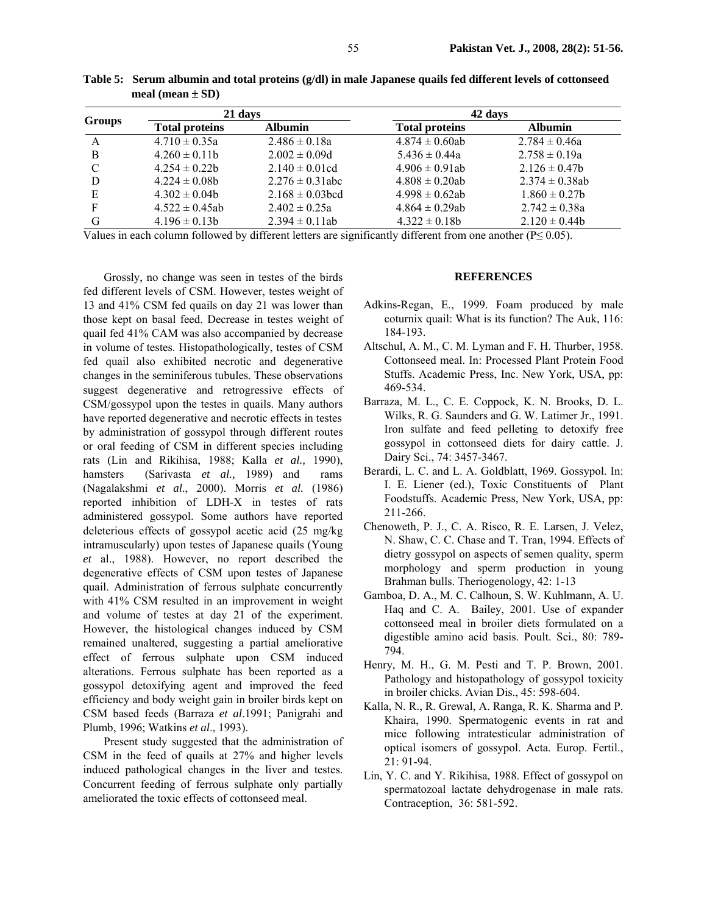|               | 21 days               |                      | 42 days               |                     |  |
|---------------|-----------------------|----------------------|-----------------------|---------------------|--|
| <b>Groups</b> | <b>Total proteins</b> | <b>Albumin</b>       | <b>Total proteins</b> | <b>Albumin</b>      |  |
| A             | $4.710 \pm 0.35a$     | $2.486 \pm 0.18a$    | $4.874 \pm 0.60$ ab   | $2.784 \pm 0.46a$   |  |
| B             | $4.260 \pm 0.11$ h    | $2.002 \pm 0.09d$    | $5.436 \pm 0.44a$     | $2.758 \pm 0.19a$   |  |
| C             | $4.254 \pm 0.22b$     | $2.140 \pm 0.01$ cd  | $4.906 \pm 0.91$ ab   | $2.126 \pm 0.47$    |  |
| D             | $4.224 \pm 0.08b$     | $2.276 \pm 0.31$ abc | $4.808 \pm 0.20$ ab   | $2.374 \pm 0.38$ ab |  |
| E             | $4.302 \pm 0.04b$     | $2.168 \pm 0.03$ bcd | $4.998 \pm 0.62$ ab   | $1.860 \pm 0.27$ b  |  |
| F             | $4.522 \pm 0.45$ ab   | $2.402 \pm 0.25a$    | $4.864 \pm 0.29$ ab   | $2.742 \pm 0.38a$   |  |
| G             | $4.196 \pm 0.13$ b    | $2.394 \pm 0.11$ ab  | $4.322 \pm 0.18$ h    | $2.120 \pm 0.44$    |  |

**Table 5: Serum albumin and total proteins (g/dl) in male Japanese quails fed different levels of cottonseed meal (mean** ± **SD)** 

Values in each column followed by different letters are significantly different from one another ( $P \le 0.05$ ).

Grossly, no change was seen in testes of the birds fed different levels of CSM. However, testes weight of 13 and 41% CSM fed quails on day 21 was lower than those kept on basal feed. Decrease in testes weight of quail fed 41% CAM was also accompanied by decrease in volume of testes. Histopathologically, testes of CSM fed quail also exhibited necrotic and degenerative changes in the seminiferous tubules. These observations suggest degenerative and retrogressive effects of CSM/gossypol upon the testes in quails. Many authors have reported degenerative and necrotic effects in testes by administration of gossypol through different routes or oral feeding of CSM in different species including rats (Lin and Rikihisa, 1988; Kalla *et al.,* 1990), hamsters (Sarivasta *et al.,* 1989) and rams (Nagalakshmi *et al*., 2000). Morris *et al.* (1986) reported inhibition of LDH-X in testes of rats administered gossypol. Some authors have reported deleterious effects of gossypol acetic acid (25 mg/kg intramuscularly) upon testes of Japanese quails (Young *et* al., 1988). However, no report described the degenerative effects of CSM upon testes of Japanese quail. Administration of ferrous sulphate concurrently with 41% CSM resulted in an improvement in weight and volume of testes at day 21 of the experiment. However, the histological changes induced by CSM remained unaltered, suggesting a partial ameliorative effect of ferrous sulphate upon CSM induced alterations. Ferrous sulphate has been reported as a gossypol detoxifying agent and improved the feed efficiency and body weight gain in broiler birds kept on CSM based feeds (Barraza *et al*.1991; Panigrahi and Plumb, 1996; Watkins *et al*., 1993).

Present study suggested that the administration of CSM in the feed of quails at 27% and higher levels induced pathological changes in the liver and testes. Concurrent feeding of ferrous sulphate only partially ameliorated the toxic effects of cottonseed meal.

#### **REFERENCES**

- Adkins-Regan, E., 1999. Foam produced by male coturnix quail: What is its function? The Auk, 116: 184-193.
- Altschul, A. M., C. M. Lyman and F. H. Thurber, 1958. Cottonseed meal. In: Processed Plant Protein Food Stuffs. Academic Press, Inc. New York, USA, pp: 469-534.
- Barraza, M. L., C. E. Coppock, K. N. Brooks, D. L. Wilks, R. G. Saunders and G. W. Latimer Jr., 1991. Iron sulfate and feed pelleting to detoxify free gossypol in cottonseed diets for dairy cattle. J. Dairy Sci., 74: 3457-3467.
- Berardi, L. C. and L. A. Goldblatt, 1969. Gossypol. In: I. E. Liener (ed.), Toxic Constituents of Plant Foodstuffs. Academic Press, New York, USA, pp: 211-266.
- Chenoweth, P. J., C. A. Risco, R. E. Larsen, J. Velez, N. Shaw, C. C. Chase and T. Tran, 1994. Effects of dietry gossypol on aspects of semen quality, sperm morphology and sperm production in young Brahman bulls. Theriogenology, 42: 1-13
- Gamboa, D. A., M. C. Calhoun, S. W. Kuhlmann, A. U. Haq and C. A. Bailey, 2001. Use of expander cottonseed meal in broiler diets formulated on a digestible amino acid basis. Poult. Sci., 80: 789- 794.
- Henry, M. H., G. M. Pesti and T. P. Brown, 2001. Pathology and histopathology of gossypol toxicity in broiler chicks. Avian Dis., 45: 598-604.
- Kalla, N. R., R. Grewal, A. Ranga, R. K. Sharma and P. Khaira, 1990. Spermatogenic events in rat and mice following intratesticular administration of optical isomers of gossypol. Acta. Europ. Fertil., 21: 91-94.
- Lin, Y. C. and Y. Rikihisa, 1988. Effect of gossypol on spermatozoal lactate dehydrogenase in male rats. Contraception, 36: 581-592.